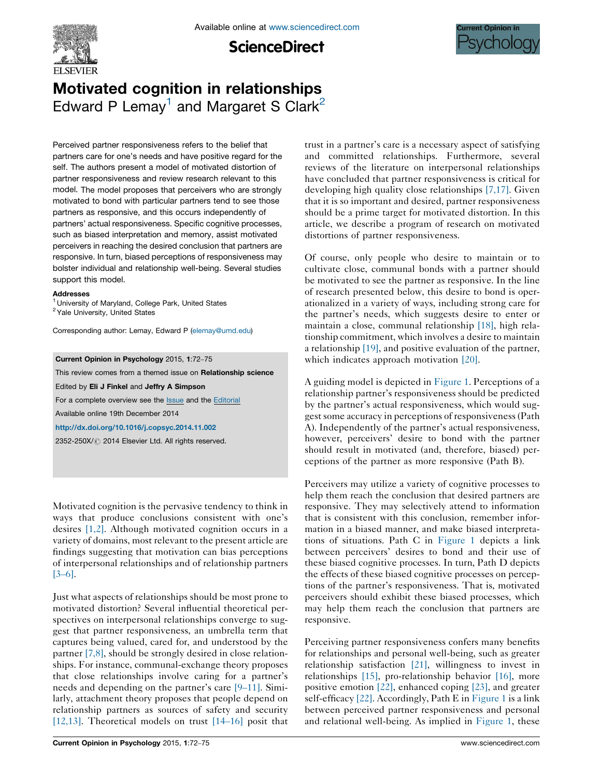

**ScienceDirect** 



# Motivated cognition in relationships Edward P Lemay<sup>1</sup> and Margaret S Clark<sup>2</sup>

Perceived partner responsiveness refers to the belief that partners care for one's needs and have positive regard for the self. The authors present a model of motivated distortion of partner responsiveness and review research relevant to this model. The model proposes that perceivers who are strongly motivated to bond with particular partners tend to see those partners as responsive, and this occurs independently of partners' actual responsiveness. Specific cognitive processes, such as biased interpretation and memory, assist motivated perceivers in reaching the desired conclusion that partners are responsive. In turn, biased perceptions of responsiveness may bolster individual and relationship well-being. Several studies support this model.

#### Addresses

<sup>1</sup> University of Maryland, College Park, United States <sup>2</sup> Yale University, United States

Corresponding author: Lemay, Edward P ([elemay@umd.edu](mailto:elemay@umd.edu))

#### Current Opinion in Psychology 2015, 1:72–75

This review comes from a themed issue on Relationship science

Edited by Eli J Finkel and Jeffry A Simpson

For a complete overview see the [Issue](http://www.sciencedirect.com/science/journal/2352250X/1) and the [Editorial](http://dx.doi.org/10.1016/j.copsyc.2015.01.005)

Available online 19th December 2014

<http://dx.doi.org/10.1016/j.copsyc.2014.11.002>

2352-250X/ 2014 Elsevier Ltd. All rights reserved.

Motivated cognition is the pervasive tendency to think in ways that produce conclusions consistent with one's desires [\[1,2\]](#page-3-0). Although motivated cognition occurs in a variety of domains, most relevant to the present article are findings suggesting that motivation can bias perceptions of interpersonal relationships and of relationship partners [\[3](#page-3-0)–6].

Just what aspects of relationships should be most prone to motivated distortion? Several influential theoretical perspectives on interpersonal relationships converge to suggest that partner responsiveness, an umbrella term that captures being valued, cared for, and understood by the partner [\[7,8\],](#page-3-0) should be strongly desired in close relationships. For instance, communal-exchange theory proposes that close relationships involve caring for a partner's needs and depending on the partner's care [9–[11\].](#page-3-0) Similarly, attachment theory proposes that people depend on relationship partners as sources of safety and security [\[12,13\].](#page-3-0) Theoretical models on trust [\[14](#page-3-0)–16] posit that trust in a partner's care is a necessary aspect of satisfying and committed relationships. Furthermore, several reviews of the literature on interpersonal relationships have concluded that partner responsiveness is critical for developing high quality close relationships [\[7,17\].](#page-3-0) Given that it is so important and desired, partner responsiveness should be a prime target for motivated distortion. In this article, we describe a program of research on motivated distortions of partner responsiveness.

Of course, only people who desire to maintain or to cultivate close, communal bonds with a partner should be motivated to see the partner as responsive. In the line of research presented below, this desire to bond is operationalized in a variety of ways, including strong care for the partner's needs, which suggests desire to enter or maintain a close, communal relationship [\[18\]](#page-3-0), high relationship commitment, which involves a desire to maintain a relationship [\[19\],](#page-3-0) and positive evaluation of the partner, which indicates approach motivation [\[20\]](#page-3-0).

A guiding model is depicted in [Figure](#page-1-0) 1. Perceptions of a relationship partner's responsiveness should be predicted by the partner's actual responsiveness, which would suggest some accuracy in perceptions of responsiveness (Path) A). Independently of the partner's actual responsiveness, however, perceivers' desire to bond with the partner should result in motivated (and, therefore, biased) perceptions of the partner as more responsive (Path B).

Perceivers may utilize a variety of cognitive processes to help them reach the conclusion that desired partners are responsive. They may selectively attend to information that is consistent with this conclusion, remember information in a biased manner, and make biased interpretations of situations. Path C in [Figure](#page-1-0) 1 depicts a link between perceivers' desires to bond and their use of these biased cognitive processes. In turn, Path D depicts the effects of these biased cognitive processes on perceptions of the partner's responsiveness. That is, motivated perceivers should exhibit these biased processes, which may help them reach the conclusion that partners are responsive.

Perceiving partner responsiveness confers many benefits for relationships and personal well-being, such as greater relationship satisfaction [\[21\]](#page-3-0), willingness to invest in relationships [\[15\]](#page-3-0), pro-relationship behavior [\[16\],](#page-3-0) more positive emotion [\[22\],](#page-3-0) enhanced coping [\[23\]](#page-3-0), and greater self-efficacy [\[22\]](#page-3-0). Accordingly, Path E in [Figure](#page-1-0) 1 is a link between perceived partner responsiveness and personal and relational well-being. As implied in [Figure](#page-1-0) 1, these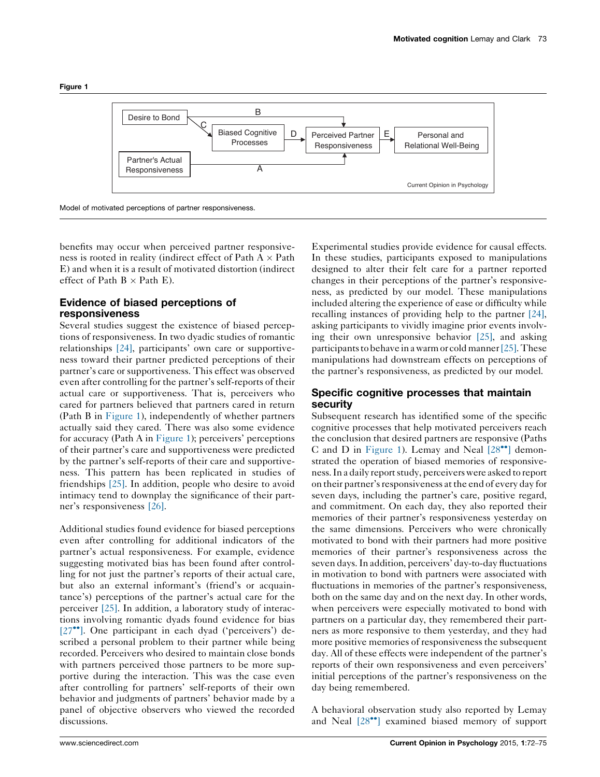<span id="page-1-0"></span>



benefits may occur when perceived partner responsiveness is rooted in reality (indirect effect of Path A  $\times$  Path E) and when it is a result of motivated distortion (indirect effect of Path  $B \times$  Path E).

## Evidence of biased perceptions of responsiveness

Several studies suggest the existence of biased perceptions of responsiveness. In two dyadic studies of romantic relationships [\[24\]](#page-3-0), participants' own care or supportiveness toward their partner predicted perceptions of their partner's care or supportiveness. This effect was observed even after controlling for the partner's self-reports of their actual care or supportiveness. That is, perceivers who cared for partners believed that partners cared in return (Path B in Figure 1), independently of whether partners actually said they cared. There was also some evidence for accuracy (Path A in Figure 1); perceivers' perceptions of their partner's care and supportiveness were predicted by the partner's self-reports of their care and supportiveness. This pattern has been replicated in studies of friendships [\[25\].](#page-3-0) In addition, people who desire to avoid intimacy tend to downplay the significance of their partner's responsiveness [\[26\].](#page-3-0)

Additional studies found evidence for biased perceptions even after controlling for additional indicators of the partner's actual responsiveness. For example, evidence suggesting motivated bias has been found after controlling for not just the partner's reports of their actual care, but also an external informant's (friend's or acquaintance's) perceptions of the partner's actual care for the perceiver [\[25\]](#page-3-0). In addition, a laboratory study of interactions involving romantic dyads found evidence for bias  $[27$ <sup> $\bullet$ </sup>[\]](#page-3-0). One participant in each dyad ('perceivers') described a personal problem to their partner while being recorded. Perceivers who desired to maintain close bonds with partners perceived those partners to be more supportive during the interaction. This was the case even after controlling for partners' self-reports of their own behavior and judgments of partners' behavior made by a panel of objective observers who viewed the recorded discussions.

Experimental studies provide evidence for causal effects. In these studies, participants exposed to manipulations designed to alter their felt care for a partner reported changes in their perceptions of the partner's responsiveness, as predicted by our model. These manipulations included altering the experience of ease or difficulty while recalling instances of providing help to the partner [\[24\],](#page-3-0) asking participants to vividly imagine prior events involving their own unresponsive behavior  $[25]$ , and asking participants to behave in a warm or cold manner  $[25]$ . These manipulations had downstream effects on perceptions of the partner's responsiveness, as predicted by our model.

## Specific cognitive processes that maintain security

Subsequent research has identified some of the specific cognitive processes that help motivated perceivers reach the conclusion that desired partners are responsive (Paths C and D in Figure 1). Lemay and Neal  $[28\degree]$  $[28\degree]$  $[28\degree]$  demonstrated the operation of biased memories of responsiveness. In a daily report study, perceivers were asked to report on their partner's responsiveness at the end of every day for seven days, including the partner's care, positive regard, and commitment. On each day, they also reported their memories of their partner's responsiveness yesterday on the same dimensions. Perceivers who were chronically motivated to bond with their partners had more positive memories of their partner's responsiveness across the seven days.In addition, perceivers' day-to-day fluctuations in motivation to bond with partners were associated with fluctuations in memories of the partner's responsiveness, both on the same day and on the next day. In other words, when perceivers were especially motivated to bond with partners on a particular day, they remembered their partners as more responsive to them yesterday, and they had more positive memories of responsiveness the subsequent day. All of these effects were independent of the partner's reports of their own responsiveness and even perceivers' initial perceptions of the partner's responsiveness on the day being remembered.

A behavioral observation study also reported by Lemay and Neal  $[28\degree]$  $[28\degree]$  $[28\degree]$  examined biased memory of support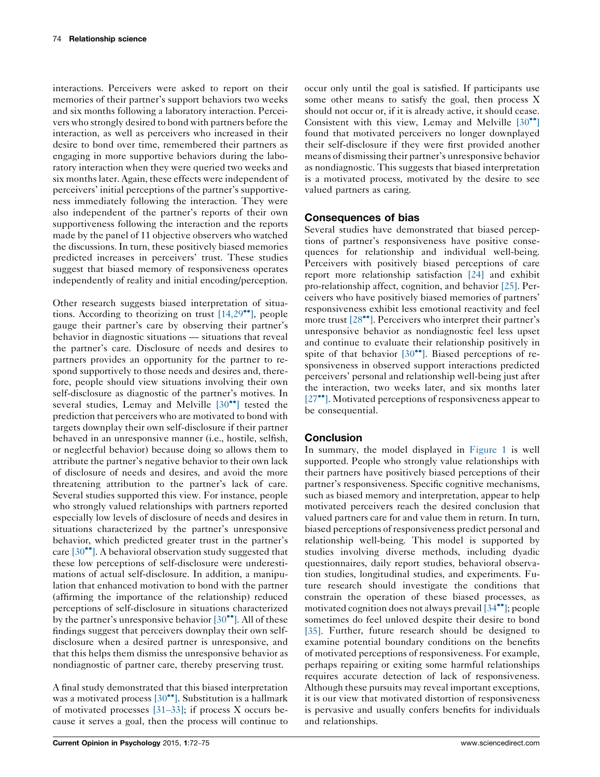interactions. Perceivers were asked to report on their memories of their partner's support behaviors two weeks and six months following a laboratory interaction. Perceivers who strongly desired to bond with partners before the interaction, as well as perceivers who increased in their desire to bond over time, remembered their partners as engaging in more supportive behaviors during the laboratory interaction when they were queried two weeks and six monthslater. Again, these effects were independent of perceivers' initial perceptions of the partner's supportiveness immediately following the interaction. They were also independent of the partner's reports of their own supportiveness following the interaction and the reports made by the panel of 11 objective observers who watched the discussions. In turn, these positively biased memories predicted increases in perceivers' trust. These studies suggest that biased memory of responsiveness operates independently of reality and initial encoding/perception.

Other research suggests biased interpretation of situations. According to theorizing on trust  $[14,29\bullet]$  $[14,29\bullet]$  $[14,29\bullet]$ , people gauge their partner's care by observing their partner's behavior in diagnostic situations — situations that reveal the partner's care. Disclosure of needs and desires to partners provides an opportunity for the partner to respond supportively to those needs and desires and, therefore, people should view situations involving their own self-disclosure as diagnostic of the partner's motives. In several studies, Lemay and Melville  $[30\bullet\bullet]$  $[30\bullet\bullet]$  $[30\bullet\bullet]$  tested the prediction that perceivers who are motivated to bond with targets downplay their own self-disclosure if their partner behaved in an unresponsive manner (i.e., hostile, selfish, or neglectful behavior) because doing so allows them to attribute the partner's negative behavior to their own lack of disclosure of needs and desires, and avoid the more threatening attribution to the partner's lack of care. Several studies supported this view. For instance, people who strongly valued relationships with partners reported especially low levels of disclosure of needs and desires in situations characterized by the partner's unresponsive behavior, which predicted greater trust in the partner's care  $[30\text{°}$  $[30\text{°}$ . A behavioral observation study suggested that these low perceptions of self-disclosure were underestimations of actual self-disclosure. In addition, a manipulation that enhanced motivation to bond with the partner (affirming the importance of the relationship) reduced perceptions of self-disclosure in situations characterized by the partner's unresponsive behavior  $[30\text{''}]$  $[30\text{''}]$  $[30\text{''}]$ . All of these findings suggest that perceivers downplay their own selfdisclosure when a desired partner is unresponsive, and that this helps them dismiss the unresponsive behavior as nondiagnostic of partner care, thereby preserving trust.

A final study demonstrated that this biased interpretation was a motivated process  $[30\text{''}]$  $[30\text{''}]$  $[30\text{''}]$ . Substitution is a hallmark of motivated processes [31–[33\];](#page-3-0) if process X occurs because it serves a goal, then the process will continue to

occur only until the goal is satisfied. If participants use some other means to satisfy the goal, then process X should not occur or, if it is already active, it should cease. Consistent with this view, Lemay and Melville  $[30\bullet]$  $[30\bullet]$  $[30\bullet]$ found that motivated perceivers no longer downplayed their self-disclosure if they were first provided another means of dismissing their partner's unresponsive behavior as nondiagnostic. This suggests that biased interpretation is a motivated process, motivated by the desire to see valued partners as caring.

### Consequences of bias

Several studies have demonstrated that biased perceptions of partner's responsiveness have positive consequences for relationship and individual well-being. Perceivers with positively biased perceptions of care report more relationship satisfaction [\[24\]](#page-3-0) and exhibit pro-relationship affect, cognition, and behavior [\[25\]](#page-3-0). Perceivers who have positively biased memories of partners' responsiveness exhibit less emotional reactivity and feel more trust  $[28\text{°}$  $[28\text{°}$ . Perceivers who interpret their partner's unresponsive behavior as nondiagnostic feel less upset and continue to evaluate their relationship positively in spite of that behavior  $[30\degree]$  $[30\degree]$  $[30\degree]$ . Biased perceptions of responsiveness in observed support interactions predicted perceivers' personal and relationship well-being just after the interaction, two weeks later, and six months later  $[27$ <sup> $\bullet$ </sup>[\]](#page-3-0). Motivated perceptions of responsiveness appear to be consequential.

## Conclusion

In summary, the model displayed in [Figure](#page-1-0) 1 is well supported. People who strongly value relationships with their partners have positively biased perceptions of their partner's responsiveness. Specific cognitive mechanisms, such as biased memory and interpretation, appear to help motivated perceivers reach the desired conclusion that valued partners care for and value them in return. In turn, biased perceptions of responsiveness predict personal and relationship well-being. This model is supported by studies involving diverse methods, including dyadic questionnaires, daily report studies, behavioral observation studies, longitudinal studies, and experiments. Future research should investigate the conditions that constrain the operation of these biased processes, as motivated cognition does not always prevail  $[34\bullet]$  $[34\bullet]$  $[34\bullet]$ ; people sometimes do feel unloved despite their desire to bond [\[35\].](#page-3-0) Further, future research should be designed to examine potential boundary conditions on the benefits of motivated perceptions of responsiveness. For example, perhaps repairing or exiting some harmful relationships requires accurate detection of lack of responsiveness. Although these pursuits may reveal important exceptions, it is our view that motivated distortion of responsiveness is pervasive and usually confers benefits for individuals and relationships.